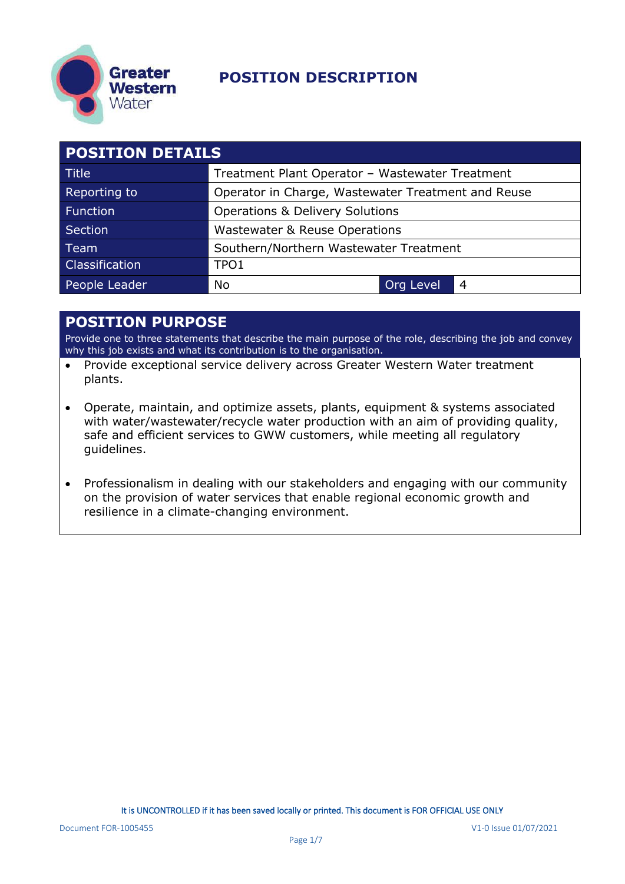

| <b>POSITION DETAILS</b> |                                                    |                  |                |  |
|-------------------------|----------------------------------------------------|------------------|----------------|--|
| <b>Title</b>            | Treatment Plant Operator - Wastewater Treatment    |                  |                |  |
| Reporting to            | Operator in Charge, Wastewater Treatment and Reuse |                  |                |  |
| <b>Function</b>         | <b>Operations &amp; Delivery Solutions</b>         |                  |                |  |
| <b>Section</b>          | <b>Wastewater &amp; Reuse Operations</b>           |                  |                |  |
| Team                    | Southern/Northern Wastewater Treatment             |                  |                |  |
| Classification          | TPO1                                               |                  |                |  |
| People Leader           | <b>No</b>                                          | <b>Org Level</b> | $\overline{4}$ |  |

#### **POSITION PURPOSE**

Provide one to three statements that describe the main purpose of the role, describing the job and convey why this job exists and what its contribution is to the organisation.

- Provide exceptional service delivery across Greater Western Water treatment plants.
- Operate, maintain, and optimize assets, plants, equipment & systems associated with water/wastewater/recycle water production with an aim of providing quality, safe and efficient services to GWW customers, while meeting all regulatory guidelines.
- Professionalism in dealing with our stakeholders and engaging with our community on the provision of water services that enable regional economic growth and resilience in a climate-changing environment.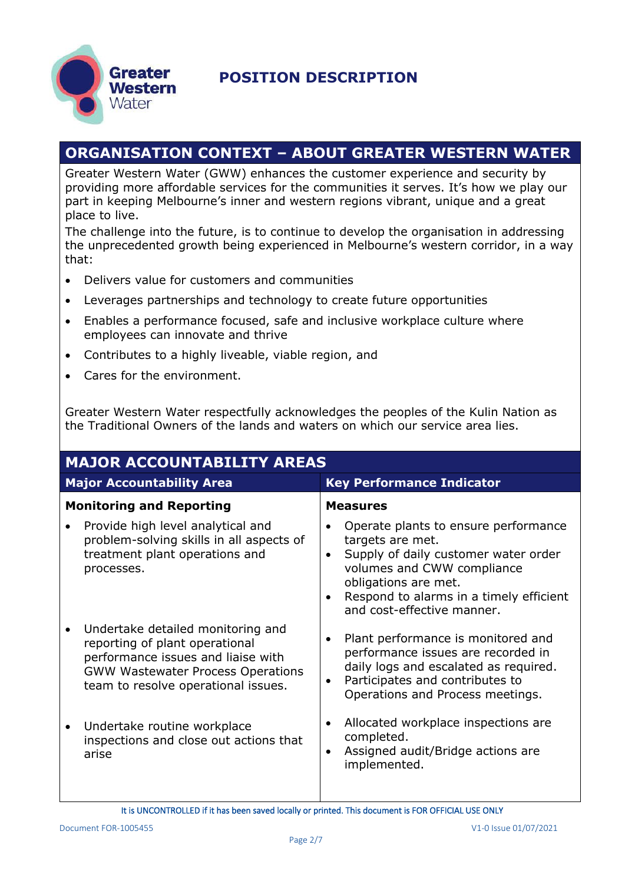

#### **ORGANISATION CONTEXT – ABOUT GREATER WESTERN WATER**

Greater Western Water (GWW) enhances the customer experience and security by providing more affordable services for the communities it serves. It's how we play our part in keeping Melbourne's inner and western regions vibrant, unique and a great place to live.

The challenge into the future, is to continue to develop the organisation in addressing the unprecedented growth being experienced in Melbourne's western corridor, in a way that:

- Delivers value for customers and communities
- Leverages partnerships and technology to create future opportunities
- Enables a performance focused, safe and inclusive workplace culture where employees can innovate and thrive
- Contributes to a highly liveable, viable region, and
- Cares for the environment.

Greater Western Water respectfully acknowledges the peoples of the Kulin Nation as the Traditional Owners of the lands and waters on which our service area lies.

| <b>MAJOR ACCOUNTABILITY AREAS</b>                                                                                                                                                            |                                                                                                                                                                                                                                                                        |  |
|----------------------------------------------------------------------------------------------------------------------------------------------------------------------------------------------|------------------------------------------------------------------------------------------------------------------------------------------------------------------------------------------------------------------------------------------------------------------------|--|
| <b>Major Accountability Area</b>                                                                                                                                                             | <b>Key Performance Indicator</b>                                                                                                                                                                                                                                       |  |
| <b>Monitoring and Reporting</b>                                                                                                                                                              | <b>Measures</b>                                                                                                                                                                                                                                                        |  |
| Provide high level analytical and<br>problem-solving skills in all aspects of<br>treatment plant operations and<br>processes.                                                                | Operate plants to ensure performance<br>$\bullet$<br>targets are met.<br>Supply of daily customer water order<br>$\bullet$<br>volumes and CWW compliance<br>obligations are met.<br>Respond to alarms in a timely efficient<br>$\bullet$<br>and cost-effective manner. |  |
| Undertake detailed monitoring and<br>reporting of plant operational<br>performance issues and liaise with<br><b>GWW Wastewater Process Operations</b><br>team to resolve operational issues. | Plant performance is monitored and<br>$\bullet$<br>performance issues are recorded in<br>daily logs and escalated as required.<br>Participates and contributes to<br>$\bullet$<br>Operations and Process meetings.                                                     |  |
| Undertake routine workplace<br>inspections and close out actions that<br>arise                                                                                                               | Allocated workplace inspections are<br>$\bullet$<br>completed.<br>Assigned audit/Bridge actions are<br>$\bullet$<br>implemented.                                                                                                                                       |  |

It is UNCONTROLLED if it has been saved locally or printed. This document is FOR OFFICIAL USE ONLY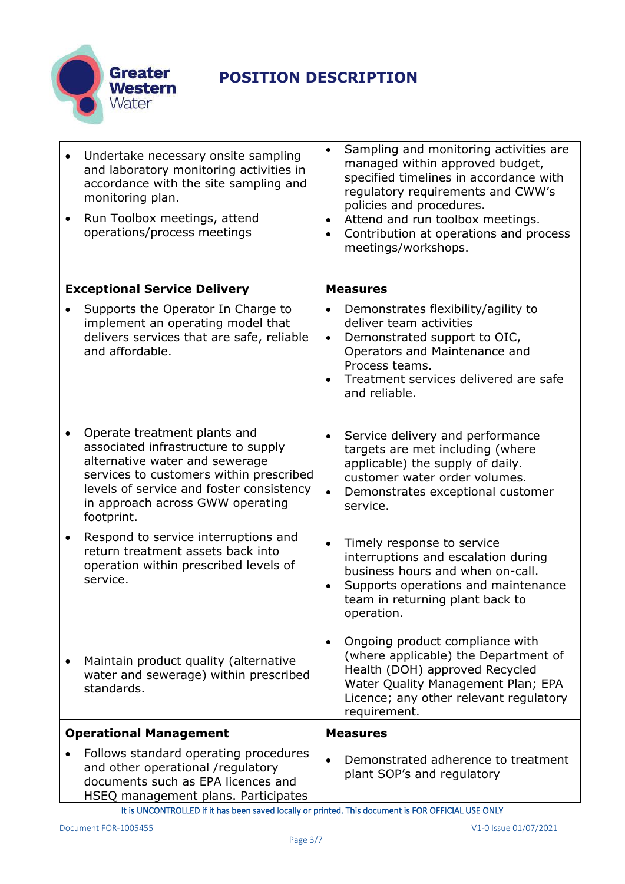

| Undertake necessary onsite sampling<br>and laboratory monitoring activities in<br>accordance with the site sampling and<br>monitoring plan.<br>Run Toolbox meetings, attend<br>operations/process meetings                                     | Sampling and monitoring activities are<br>$\bullet$<br>managed within approved budget,<br>specified timelines in accordance with<br>regulatory requirements and CWW's<br>policies and procedures.<br>Attend and run toolbox meetings.<br>$\bullet$<br>Contribution at operations and process<br>$\bullet$<br>meetings/workshops. |
|------------------------------------------------------------------------------------------------------------------------------------------------------------------------------------------------------------------------------------------------|----------------------------------------------------------------------------------------------------------------------------------------------------------------------------------------------------------------------------------------------------------------------------------------------------------------------------------|
| <b>Exceptional Service Delivery</b>                                                                                                                                                                                                            | <b>Measures</b>                                                                                                                                                                                                                                                                                                                  |
| Supports the Operator In Charge to<br>implement an operating model that<br>delivers services that are safe, reliable<br>and affordable.                                                                                                        | Demonstrates flexibility/agility to<br>deliver team activities<br>Demonstrated support to OIC,<br>$\bullet$<br>Operators and Maintenance and<br>Process teams.<br>Treatment services delivered are safe<br>$\bullet$<br>and reliable.                                                                                            |
| Operate treatment plants and<br>associated infrastructure to supply<br>alternative water and sewerage<br>services to customers within prescribed<br>levels of service and foster consistency<br>in approach across GWW operating<br>footprint. | Service delivery and performance<br>targets are met including (where<br>applicable) the supply of daily.<br>customer water order volumes.<br>Demonstrates exceptional customer<br>$\bullet$<br>service.                                                                                                                          |
| Respond to service interruptions and<br>return treatment assets back into<br>operation within prescribed levels of<br>service.                                                                                                                 | Timely response to service<br>$\bullet$<br>interruptions and escalation during<br>business hours and when on-call.<br>Supports operations and maintenance<br>$\bullet$<br>team in returning plant back to<br>operation.                                                                                                          |
| Maintain product quality (alternative<br>water and sewerage) within prescribed<br>standards.                                                                                                                                                   | Ongoing product compliance with<br>$\bullet$<br>(where applicable) the Department of<br>Health (DOH) approved Recycled<br>Water Quality Management Plan; EPA<br>Licence; any other relevant regulatory<br>requirement.                                                                                                           |
| <b>Operational Management</b>                                                                                                                                                                                                                  | <b>Measures</b>                                                                                                                                                                                                                                                                                                                  |
| Follows standard operating procedures<br>and other operational /regulatory<br>documents such as EPA licences and<br>HSEQ management plans. Participates                                                                                        | Demonstrated adherence to treatment<br>$\bullet$<br>plant SOP's and regulatory                                                                                                                                                                                                                                                   |

It is UNCONTROLLED if it has been saved locally or printed. This document is FOR OFFICIAL USE ONLY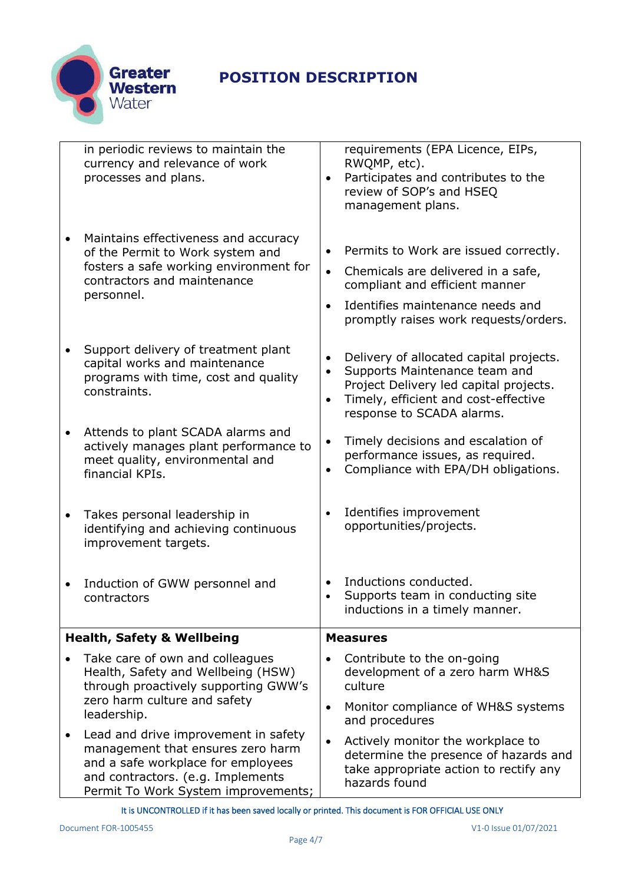

|           | in periodic reviews to maintain the<br>currency and relevance of work<br>processes and plans.                                                                                               | $\bullet$                   | requirements (EPA Licence, EIPs,<br>RWQMP, etc).<br>Participates and contributes to the<br>review of SOP's and HSEQ<br>management plans.                                                   |
|-----------|---------------------------------------------------------------------------------------------------------------------------------------------------------------------------------------------|-----------------------------|--------------------------------------------------------------------------------------------------------------------------------------------------------------------------------------------|
| $\bullet$ | Maintains effectiveness and accuracy<br>of the Permit to Work system and<br>fosters a safe working environment for<br>contractors and maintenance<br>personnel.                             | ٠<br>$\bullet$<br>$\bullet$ | Permits to Work are issued correctly.<br>Chemicals are delivered in a safe,<br>compliant and efficient manner<br>Identifies maintenance needs and<br>promptly raises work requests/orders. |
|           | Support delivery of treatment plant<br>capital works and maintenance<br>programs with time, cost and quality<br>constraints.                                                                | $\bullet$<br>$\bullet$      | Delivery of allocated capital projects.<br>Supports Maintenance team and<br>Project Delivery led capital projects.<br>Timely, efficient and cost-effective<br>response to SCADA alarms.    |
| $\bullet$ | Attends to plant SCADA alarms and<br>actively manages plant performance to<br>meet quality, environmental and<br>financial KPIs.                                                            | $\bullet$<br>$\bullet$      | Timely decisions and escalation of<br>performance issues, as required.<br>Compliance with EPA/DH obligations.                                                                              |
|           | Takes personal leadership in<br>identifying and achieving continuous<br>improvement targets.                                                                                                | $\bullet$                   | Identifies improvement<br>opportunities/projects.                                                                                                                                          |
| $\bullet$ | Induction of GWW personnel and<br>contractors                                                                                                                                               |                             | Inductions conducted.<br>Supports team in conducting site<br>inductions in a timely manner.                                                                                                |
|           | <b>Health, Safety &amp; Wellbeing</b>                                                                                                                                                       |                             | <b>Measures</b>                                                                                                                                                                            |
|           | Take care of own and colleagues<br>Health, Safety and Wellbeing (HSW)<br>through proactively supporting GWW's<br>zero harm culture and safety<br>leadership.                                | $\bullet$<br>$\bullet$      | Contribute to the on-going<br>development of a zero harm WH&S<br>culture<br>Monitor compliance of WH&S systems                                                                             |
| $\bullet$ | Lead and drive improvement in safety<br>management that ensures zero harm<br>and a safe workplace for employees<br>and contractors. (e.g. Implements<br>Permit To Work System improvements; | $\bullet$                   | and procedures<br>Actively monitor the workplace to<br>determine the presence of hazards and<br>take appropriate action to rectify any<br>hazards found                                    |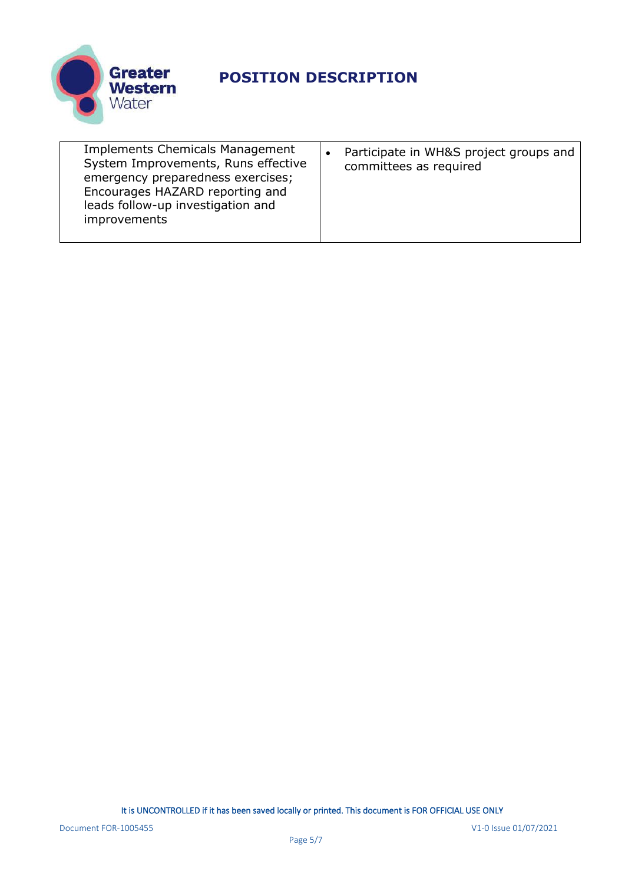

| <b>Implements Chemicals Management</b><br>System Improvements, Runs effective<br>emergency preparedness exercises;<br>Encourages HAZARD reporting and<br>leads follow-up investigation and<br><i>improvements</i> | Participate in WH&S project groups and<br>committees as required |
|-------------------------------------------------------------------------------------------------------------------------------------------------------------------------------------------------------------------|------------------------------------------------------------------|
|-------------------------------------------------------------------------------------------------------------------------------------------------------------------------------------------------------------------|------------------------------------------------------------------|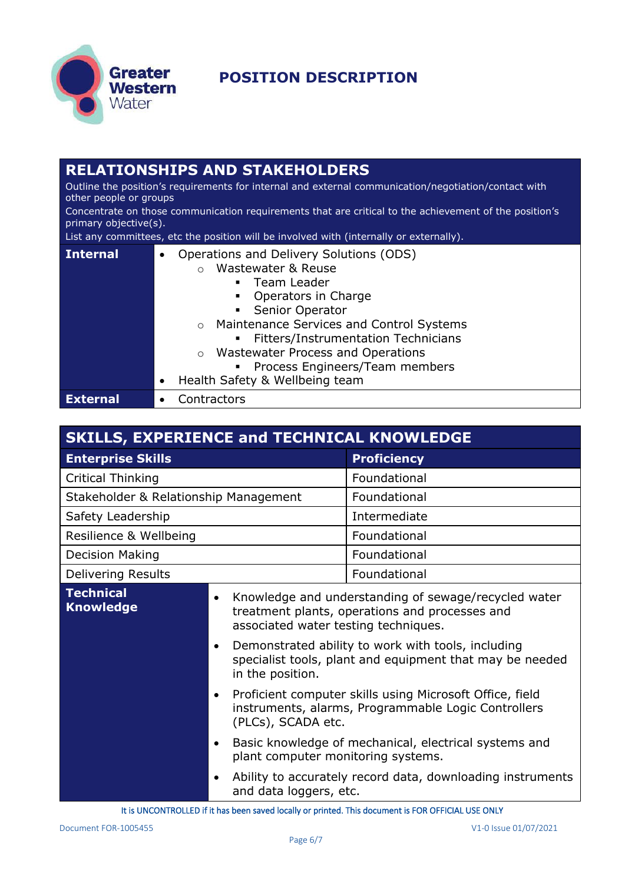

#### **RELATIONSHIPS AND STAKEHOLDERS**

Outline the position's requirements for internal and external communication/negotiation/contact with other people or groups

Concentrate on those communication requirements that are critical to the achievement of the position's primary objective(s).

List any committees, etc the position will be involved with (internally or externally).

| Internal        | Operations and Delivery Solutions (ODS)<br>$\bullet$<br>Wastewater & Reuse<br>$\circ$<br>• Team Leader<br>• Operators in Charge<br>• Senior Operator<br>Maintenance Services and Control Systems<br>$\circ$<br>• Fitters/Instrumentation Technicians<br>Wastewater Process and Operations<br>$\circ$<br>• Process Engineers/Team members<br>Health Safety & Wellbeing team |
|-----------------|----------------------------------------------------------------------------------------------------------------------------------------------------------------------------------------------------------------------------------------------------------------------------------------------------------------------------------------------------------------------------|
| <b>External</b> | Contractors                                                                                                                                                                                                                                                                                                                                                                |

| <b>SKILLS, EXPERIENCE and TECHNICAL KNOWLEDGE</b> |                                                                                                                                                                                                                                                                                                                                                                                                                                                                      |                                                            |
|---------------------------------------------------|----------------------------------------------------------------------------------------------------------------------------------------------------------------------------------------------------------------------------------------------------------------------------------------------------------------------------------------------------------------------------------------------------------------------------------------------------------------------|------------------------------------------------------------|
| <b>Enterprise Skills</b>                          |                                                                                                                                                                                                                                                                                                                                                                                                                                                                      | <b>Proficiency</b>                                         |
| <b>Critical Thinking</b>                          |                                                                                                                                                                                                                                                                                                                                                                                                                                                                      | Foundational                                               |
| Stakeholder & Relationship Management             |                                                                                                                                                                                                                                                                                                                                                                                                                                                                      | Foundational                                               |
| Safety Leadership                                 |                                                                                                                                                                                                                                                                                                                                                                                                                                                                      | Intermediate                                               |
| Resilience & Wellbeing                            |                                                                                                                                                                                                                                                                                                                                                                                                                                                                      | Foundational                                               |
| <b>Decision Making</b>                            |                                                                                                                                                                                                                                                                                                                                                                                                                                                                      | Foundational                                               |
| <b>Delivering Results</b>                         |                                                                                                                                                                                                                                                                                                                                                                                                                                                                      | Foundational                                               |
| <b>Technical</b><br><b>Knowledge</b>              | Knowledge and understanding of sewage/recycled water<br>$\bullet$<br>treatment plants, operations and processes and<br>associated water testing techniques.<br>Demonstrated ability to work with tools, including<br>$\bullet$<br>specialist tools, plant and equipment that may be needed<br>in the position.<br>Proficient computer skills using Microsoft Office, field<br>$\bullet$<br>instruments, alarms, Programmable Logic Controllers<br>(PLCs), SCADA etc. |                                                            |
|                                                   |                                                                                                                                                                                                                                                                                                                                                                                                                                                                      |                                                            |
|                                                   | $\bullet$<br>plant computer monitoring systems.                                                                                                                                                                                                                                                                                                                                                                                                                      | Basic knowledge of mechanical, electrical systems and      |
|                                                   | $\bullet$<br>and data loggers, etc.                                                                                                                                                                                                                                                                                                                                                                                                                                  | Ability to accurately record data, downloading instruments |

It is UNCONTROLLED if it has been saved locally or printed. This document is FOR OFFICIAL USE ONLY